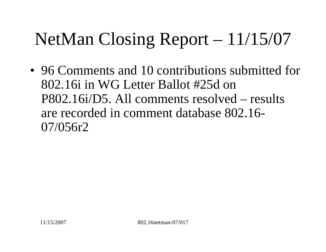• 96 Comments and 10 contributions submitted for 802.16i in WG Letter Ballot #25d on P802.16i/D5. All comments resolved – results are recorded in comment database 802.16- 07/056r2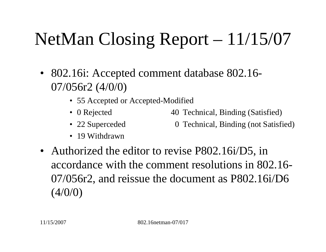- 802.16i: Accepted comment database 802.16- 07/056r2 (4/0/0)
	- 55 Accepted or Accepted-Modified
	- 0 Rejected 40 Technical, Binding (Satisfied)
	- 22 Superceded 0 Technical, Binding (not Satisfied)
	- 19 Withdrawn
- Authorized the editor to revise P802.16i/D5, in accordance with the comment resolutions in 802.16- 07/056r2, and reissue the document as P802.16i/D6  $(4/0/0)$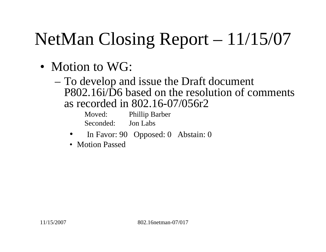- Motion to WG:
	- To develop and issue the Draft document P802.16i/D6 based on the resolution of comments as recorded in 802.16-07/056r2

Moved: Phillip Barber Seconded: Jon Labs

- $\bullet$ In Favor: 90 Opposed: 0 Abstain: 0
- Motion Passed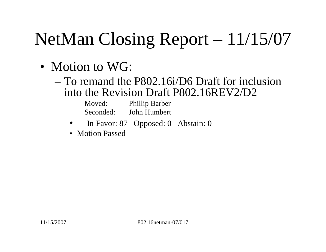- Motion to WG:
	- To remand the P802.16i/D6 Draft for inclusion into the Revision Draft P802.16REV2/D2

| Moved:    | <b>Phillip Barber</b> |
|-----------|-----------------------|
| Seconded: | John Humbert          |

- •In Favor: 87 Opposed: 0 Abstain: 0
- Motion Passed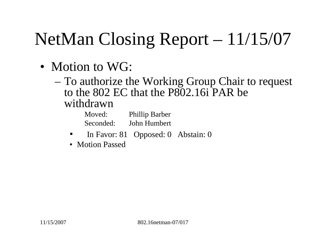- Motion to WG:
	- To authorize the Working Group Chair to request to the 802 EC that the P802.16i PAR be withdrawn

| Moved:    | <b>Phillip Barber</b> |
|-----------|-----------------------|
| Seconded: | John Humbert          |

- •In Favor: 81 Opposed: 0 Abstain: 0
- Motion Passed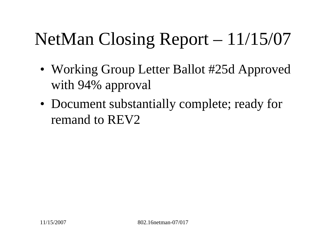- Working Group Letter Ballot #25d Approved with 94% approval
- Document substantially complete; ready for remand to REV2